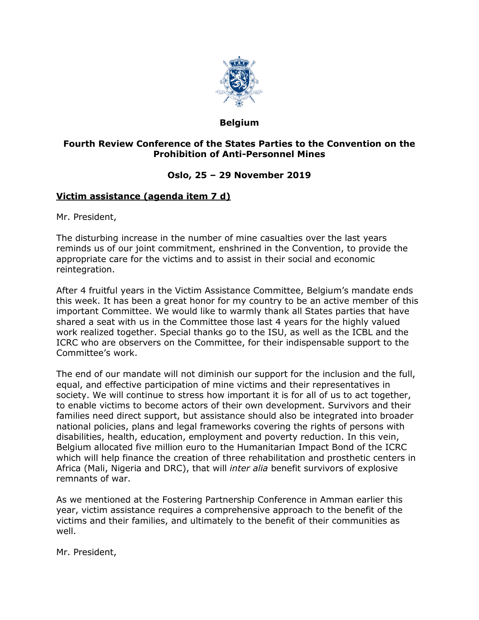

## **Belgium**

## **Fourth Review Conference of the States Parties to the Convention on the Prohibition of Anti-Personnel Mines**

## **Oslo, 25 – 29 November 2019**

## **Victim assistance (agenda item 7 d)**

Mr. President,

The disturbing increase in the number of mine casualties over the last years reminds us of our joint commitment, enshrined in the Convention, to provide the appropriate care for the victims and to assist in their social and economic reintegration.

After 4 fruitful years in the Victim Assistance Committee, Belgium's mandate ends this week. It has been a great honor for my country to be an active member of this important Committee. We would like to warmly thank all States parties that have shared a seat with us in the Committee those last 4 years for the highly valued work realized together. Special thanks go to the ISU, as well as the ICBL and the ICRC who are observers on the Committee, for their indispensable support to the Committee's work.

The end of our mandate will not diminish our support for the inclusion and the full, equal, and effective participation of mine victims and their representatives in society. We will continue to stress how important it is for all of us to act together, to enable victims to become actors of their own development. Survivors and their families need direct support, but assistance should also be integrated into broader national policies, plans and legal frameworks covering the rights of persons with disabilities, health, education, employment and poverty reduction. In this vein, Belgium allocated five million euro to the Humanitarian Impact Bond of the ICRC which will help finance the creation of three rehabilitation and prosthetic centers in Africa (Mali, Nigeria and DRC), that will *inter alia* benefit survivors of explosive remnants of war.

As we mentioned at the Fostering Partnership Conference in Amman earlier this year, victim assistance requires a comprehensive approach to the benefit of the victims and their families, and ultimately to the benefit of their communities as well.

Mr. President,